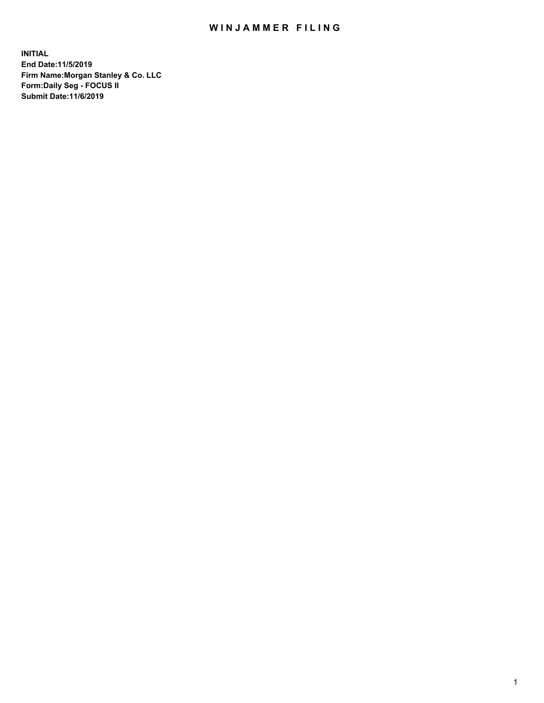## WIN JAMMER FILING

**INITIAL End Date:11/5/2019 Firm Name:Morgan Stanley & Co. LLC Form:Daily Seg - FOCUS II Submit Date:11/6/2019**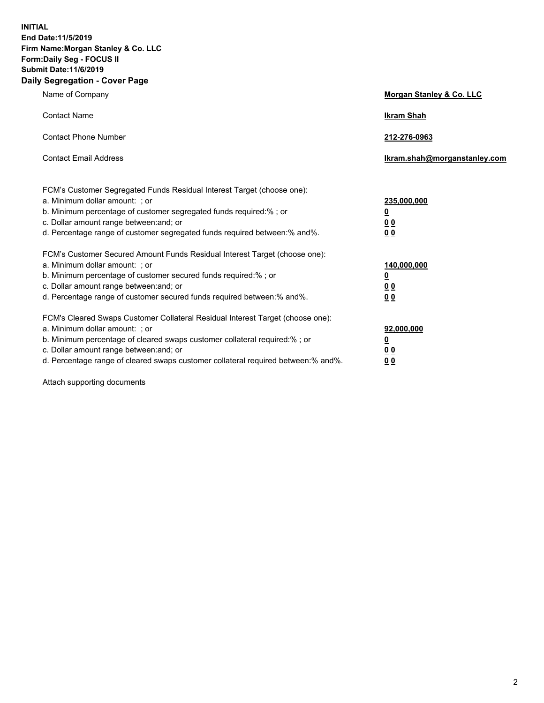**INITIAL End Date:11/5/2019 Firm Name:Morgan Stanley & Co. LLC Form:Daily Seg - FOCUS II Submit Date:11/6/2019 Daily Segregation - Cover Page**

| Name of Company                                                                                                                                                                                                                                                                                                               | Morgan Stanley & Co. LLC                               |
|-------------------------------------------------------------------------------------------------------------------------------------------------------------------------------------------------------------------------------------------------------------------------------------------------------------------------------|--------------------------------------------------------|
| <b>Contact Name</b>                                                                                                                                                                                                                                                                                                           | <b>Ikram Shah</b>                                      |
| <b>Contact Phone Number</b>                                                                                                                                                                                                                                                                                                   | 212-276-0963                                           |
| <b>Contact Email Address</b>                                                                                                                                                                                                                                                                                                  | Ikram.shah@morganstanley.com                           |
| FCM's Customer Segregated Funds Residual Interest Target (choose one):<br>a. Minimum dollar amount: ; or<br>b. Minimum percentage of customer segregated funds required:% ; or<br>c. Dollar amount range between: and; or<br>d. Percentage range of customer segregated funds required between:% and%.                        | 235,000,000<br><u>0</u><br><u>00</u><br>0 <sup>0</sup> |
| FCM's Customer Secured Amount Funds Residual Interest Target (choose one):<br>a. Minimum dollar amount: ; or<br>b. Minimum percentage of customer secured funds required:%; or<br>c. Dollar amount range between: and; or<br>d. Percentage range of customer secured funds required between:% and%.                           | 140,000,000<br><u>0</u><br><u>00</u><br>0 <sub>0</sub> |
| FCM's Cleared Swaps Customer Collateral Residual Interest Target (choose one):<br>a. Minimum dollar amount: ; or<br>b. Minimum percentage of cleared swaps customer collateral required:%; or<br>c. Dollar amount range between: and; or<br>d. Percentage range of cleared swaps customer collateral required between:% and%. | 92,000,000<br><u>0</u><br>0 Q<br>00                    |

Attach supporting documents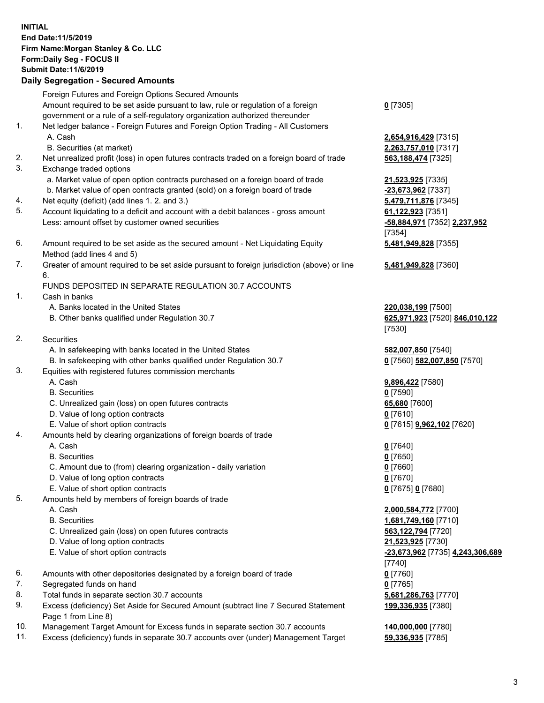## **INITIAL End Date:11/5/2019 Firm Name:Morgan Stanley & Co. LLC Form:Daily Seg - FOCUS II Submit Date:11/6/2019**

## **Daily Segregation - Secured Amounts**

Foreign Futures and Foreign Options Secured Amounts Amount required to be set aside pursuant to law, rule or regulation of a foreign government or a rule of a self-regulatory organization authorized thereunder 1. Net ledger balance - Foreign Futures and Foreign Option Trading - All Customers A. Cash **2,654,916,429** [7315] B. Securities (at market) **2,263,757,010** [7317] 2. Net unrealized profit (loss) in open futures contracts traded on a foreign board of trade **563,188,474** [7325] 3. Exchange traded options a. Market value of open option contracts purchased on a foreign board of trade **21,523,925** [7335] b. Market value of open contracts granted (sold) on a foreign board of trade **-23,673,962** [7337] 4. Net equity (deficit) (add lines 1. 2. and 3.) **5,479,711,876** [7345] 5. Account liquidating to a deficit and account with a debit balances - gross amount **61,122,923** [7351] Less: amount offset by customer owned securities **-58,884,971** [7352] **2,237,952** 6. Amount required to be set aside as the secured amount - Net Liquidating Equity Method (add lines 4 and 5)

7. Greater of amount required to be set aside pursuant to foreign jurisdiction (above) or line 6.

## FUNDS DEPOSITED IN SEPARATE REGULATION 30.7 ACCOUNTS

- 1. Cash in banks
	- A. Banks located in the United States **220,038,199** [7500]
	- B. Other banks qualified under Regulation 30.7 **625,971,923** [7520] **846,010,122**
- 2. Securities
	- A. In safekeeping with banks located in the United States **582,007,850** [7540]
	- B. In safekeeping with other banks qualified under Regulation 30.7 **0** [7560] **582,007,850** [7570]
- 3. Equities with registered futures commission merchants
	-
	- B. Securities **0** [7590]
	- C. Unrealized gain (loss) on open futures contracts **65,680** [7600]
	- D. Value of long option contracts **0** [7610]
- E. Value of short option contracts **0** [7615] **9,962,102** [7620]
- 4. Amounts held by clearing organizations of foreign boards of trade
	- A. Cash **0** [7640]
	- B. Securities **0** [7650]
	- C. Amount due to (from) clearing organization daily variation **0** [7660]
	- D. Value of long option contracts **0** [7670]
	- E. Value of short option contracts **0** [7675] **0** [7680]
- 5. Amounts held by members of foreign boards of trade
	-
	-
	- C. Unrealized gain (loss) on open futures contracts **563,122,794** [7720]
	- D. Value of long option contracts **21,523,925** [7730]
	- E. Value of short option contracts **-23,673,962** [7735] **4,243,306,689**
- 6. Amounts with other depositories designated by a foreign board of trade **0** [7760]
- 7. Segregated funds on hand **0** [7765]
- 8. Total funds in separate section 30.7 accounts **5,681,286,763** [7770]
- 9. Excess (deficiency) Set Aside for Secured Amount (subtract line 7 Secured Statement Page 1 from Line 8)
- 10. Management Target Amount for Excess funds in separate section 30.7 accounts **140,000,000** [7780]
- 11. Excess (deficiency) funds in separate 30.7 accounts over (under) Management Target **59,336,935** [7785]

**0** [7305]

[7354] **5,481,949,828** [7355]

**5,481,949,828** [7360]

[7530]

A. Cash **9,896,422** [7580]

 A. Cash **2,000,584,772** [7700] B. Securities **1,681,749,160** [7710] [7740] **199,336,935** [7380]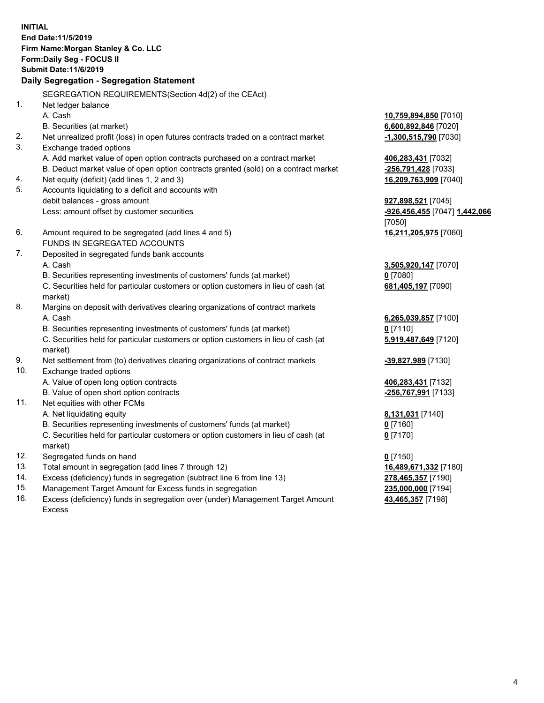**INITIAL End Date:11/5/2019 Firm Name:Morgan Stanley & Co. LLC Form:Daily Seg - FOCUS II Submit Date:11/6/2019 Daily Segregation - Segregation Statement** SEGREGATION REQUIREMENTS(Section 4d(2) of the CEAct) 1. Net ledger balance A. Cash **10,759,894,850** [7010] B. Securities (at market) **6,600,892,846** [7020] 2. Net unrealized profit (loss) in open futures contracts traded on a contract market **-1,300,515,790** [7030] 3. Exchange traded options A. Add market value of open option contracts purchased on a contract market **406,283,431** [7032] B. Deduct market value of open option contracts granted (sold) on a contract market **-256,791,428** [7033] 4. Net equity (deficit) (add lines 1, 2 and 3) **16,209,763,909** [7040] 5. Accounts liquidating to a deficit and accounts with debit balances - gross amount **927,898,521** [7045] Less: amount offset by customer securities **-926,456,455** [7047] **1,442,066** [7050] 6. Amount required to be segregated (add lines 4 and 5) **16,211,205,975** [7060] FUNDS IN SEGREGATED ACCOUNTS 7. Deposited in segregated funds bank accounts A. Cash **3,505,920,147** [7070] B. Securities representing investments of customers' funds (at market) **0** [7080] C. Securities held for particular customers or option customers in lieu of cash (at market) **681,405,197** [7090] 8. Margins on deposit with derivatives clearing organizations of contract markets A. Cash **6,265,039,857** [7100] B. Securities representing investments of customers' funds (at market) **0** [7110] C. Securities held for particular customers or option customers in lieu of cash (at market) **5,919,487,649** [7120] 9. Net settlement from (to) derivatives clearing organizations of contract markets **-39,827,989** [7130] 10. Exchange traded options A. Value of open long option contracts **406,283,431** [7132] B. Value of open short option contracts **-256,767,991** [7133] 11. Net equities with other FCMs A. Net liquidating equity **8,131,031** [7140] B. Securities representing investments of customers' funds (at market) **0** [7160] C. Securities held for particular customers or option customers in lieu of cash (at market) **0** [7170] 12. Segregated funds on hand **0** [7150] 13. Total amount in segregation (add lines 7 through 12) **16,489,671,332** [7180] 14. Excess (deficiency) funds in segregation (subtract line 6 from line 13) **278,465,357** [7190]

- 15. Management Target Amount for Excess funds in segregation **235,000,000** [7194]
- 16. Excess (deficiency) funds in segregation over (under) Management Target Amount Excess

**43,465,357** [7198]